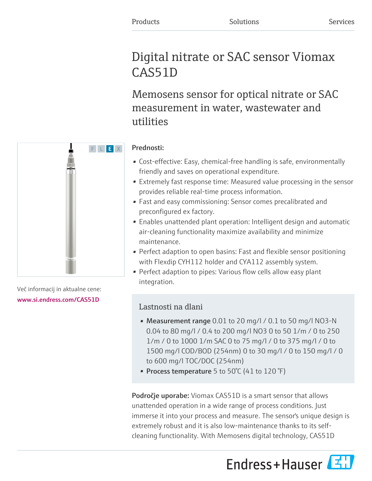# Digital nitrate or SAC sensor Viomax CAS51D

Memosens sensor for optical nitrate or SAC measurement in water, wastewater and utilities

# F L E X

Več informacij in aktualne cene: [www.si.endress.com/CAS51D](https://www.si.endress.com/CAS51D)

### Prednosti:

- Cost-effective: Easy, chemical-free handling is safe, environmentally friendly and saves on operational expenditure.
- Extremely fast response time: Measured value processing in the sensor provides reliable real-time process information.
- Fast and easy commissioning: Sensor comes precalibrated and preconfigured ex factory.
- Enables unattended plant operation: Intelligent design and automatic air-cleaning functionality maximize availability and minimize maintenance.
- Perfect adaption to open basins: Fast and flexible sensor positioning with Flexdip CYH112 holder and CYA112 assembly system.
- Perfect adaption to pipes: Various flow cells allow easy plant integration.

## Lastnosti na dlani

- Measurement range 0.01 to 20 mg/l / 0.1 to 50 mg/l NO3-N 0.04 to 80 mg/l / 0.4 to 200 mg/l NO3 0 to 50 1/m / 0 to 250 1/m / 0 to 1000 1/m SAC 0 to 75 mg/l / 0 to 375 mg/l / 0 to 1500 mg/l COD/BOD (254nm) 0 to 30 mg/l / 0 to 150 mg/l / 0 to 600 mg/l TOC/DOC (254nm)
- Process temperature 5 to 50 $^{\circ}$ C (41 to 120 $^{\circ}$ F)

Področje uporabe: Viomax CAS51D is a smart sensor that allows unattended operation in a wide range of process conditions. Just immerse it into your process and measure. The sensor's unique design is extremely robust and it is also low-maintenance thanks to its selfcleaning functionality. With Memosens digital technology, CAS51D

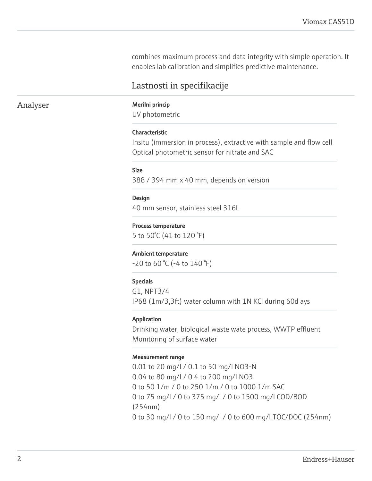combines maximum process and data integrity with simple operation. It enables lab calibration and simplifies predictive maintenance.

### Lastnosti in specifikacije

### Analyser Merilni princip

UV photometric

### Characteristic

Insitu (immersion in process), extractive with sample and flow cell Optical photometric sensor for nitrate and SAC

### Size

388 / 394 mm x 40 mm, depends on version

### Design

40 mm sensor, stainless steel 316L

### Process temperature

5 to 50°C (41 to 120 °F)

### Ambient temperature

 $-20$  to 60 °C ( $-4$  to 140 °F)

### Specials

G1, NPT3/4 IP68 (1m/3,3ft) water column with 1N KCl during 60d ays

### Application

Drinking water, biological waste wate process, WWTP effluent Monitoring of surface water

### Measurement range

0.01 to 20 mg/l / 0.1 to 50 mg/l NO3-N 0.04 to 80 mg/l / 0.4 to 200 mg/l NO3 0 to 50 1/m / 0 to 250 1/m / 0 to 1000 1/m SAC 0 to 75 mg/l / 0 to 375 mg/l / 0 to 1500 mg/l COD/BOD (254nm) 0 to 30 mg/l / 0 to 150 mg/l / 0 to 600 mg/l TOC/DOC (254nm)